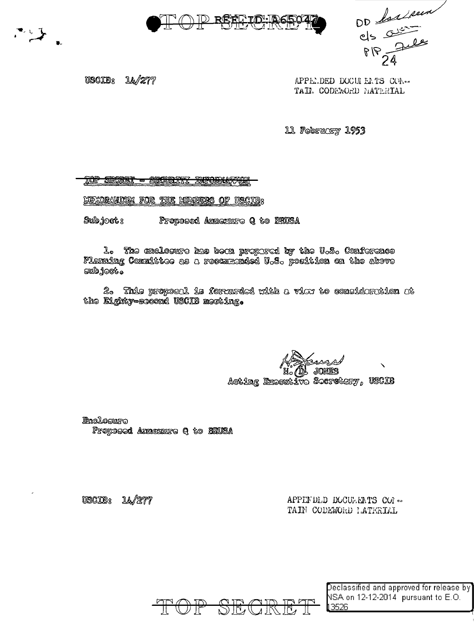



OD Largen

**USCIB**8 14/277 APPELDED DOCULEATS COA-TAIL CODEWORD MATERIAL

11 February 1953

<del>IOP SECTORT - SECURITY INFORMATION</del>

MEXORANDUM FOR THE MEVICAS OF USCIO3

Subjects Proposed Amasoure Q to ENUSA

L. The enclosure has been propared by the U.S. Conference Flamaing Committee as a recommoded U.S. position on the above  $\sim 300$   $\sim$ 

2. This proposal is formarded with a view to consideration at the Eighty-second USCIB memiing.

| Andrews |                                   |  |
|---------|-----------------------------------|--|
|         |                                   |  |
|         | Acting Executive Serrotary, USCIB |  |

Enclosure Froposed Annexaure A to BNUSA

USCIE: U./277 APPENDLD DOCULEATS COR-TAIN CODEWORD LATERIAL



 $\sf Declassified$  and approved for release by  $\sf J$ NSA on 12-12-2014 pursuant to E.O. 3526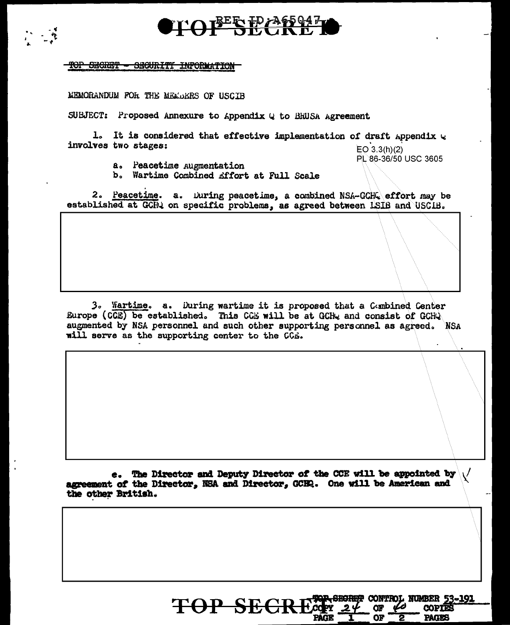

## TOP SECRET - SECURITY INFORMATION

 $\mathcal{L}$ 

MEMORANDUM FOR THE MEMORIES OF USCIB

SUBJECT: Proposed Annexure to Appendix Q to BHUSA Agreement

1. It is considered that effective implementation of draft Appendix  $Q$ involves two stages:

 $EO\ 3.3(h)(2)$ PL 86-36/50 USC 3605

**NUMBER 53-191** 

**COPTES PAGES** 

**CONTH** 

Œ

OF

PAGÉ

- a. Peacetime Augmentation
- b. Wartime Combined Affort at Full Scale

2. Peacetime. a. During peacetime, a combined NSA-GCHQ effort may be established at GCHQ on specific problems, as agreed between ISIB and USCIB.

3. Martime. a. During wartime it is proposed that a Gembined Center Europe (CCE) be established. This CCE will be at GCHy and consist of GCHQ augmented by NSA personnel and such other supporting personnel as agreed. NSA will serve as the supporting center to the CCE.

e. The Director and Deputy Director of the CCE will be appointed by agreement of the Director, NSA and Director, GCHQ. One will be American and the other British.

TOP SECRES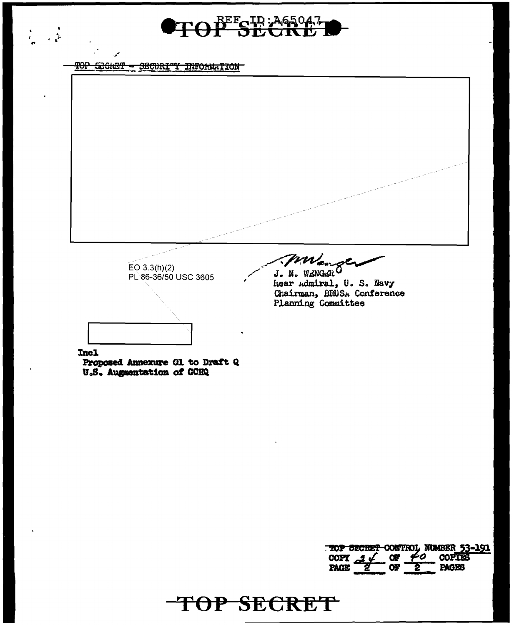BEEGID: A65047 中

## TOP SECRET - SECURITY INFORMATION

 $\frac{1}{2} \left( \frac{1}{2} \right)^{\frac{1}{2}}$ 

m  $EO$  3.3(h)(2) J. N. WENGERO PL 86-36/50 USC 3605 hear Admiral, U. S. Navy Chairman, BRUSA Conference Planning Committee **Incl** Proposed Annexure Gl. to Draft Q

TOP SECRET

U.S. Augusntation of GCHQ

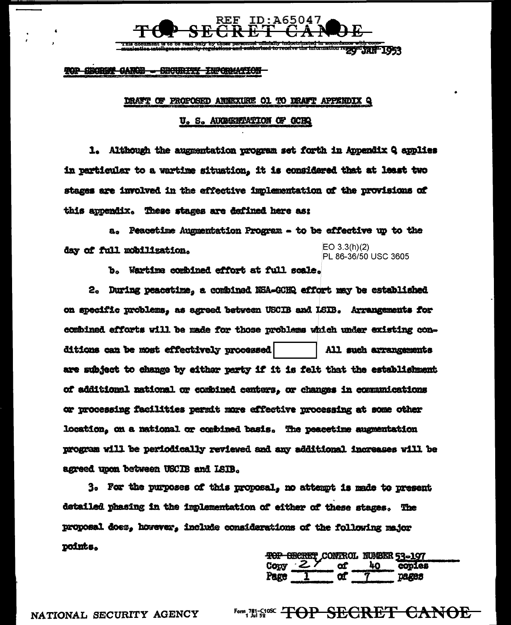

<u>This accument is to be read o</u> information regged trail 1953

TOP SECRET CARDS - SECURITY INFORMATION

## DRAFT OF PROPOSED ANNEXURE O1 TO DRAFT APPENDIX Q

U. S. AUGHENTATION OF GCHQ

1. Although the augmentation program set forth in Appendix Q applies in particular to a wartime situation. It is considered that at least two stages are involved in the effective implementation of the provisions of this appendix. These stages are defined here as:

a. Peacetime Augmentation Program - to be effective up to the EO  $3.3(h)(2)$ day of full mobilization. PL 86-36/50 USC 3605

b. Wartime combined effort at full scale.

2. During peacetime, a combined NSA-GCHQ effort may be established on specific problems, as agreed between USCIB and ISIB. Arrangements for combined efforts will be made for those problems which under existing conditions can be most effectively processed All such arrangements are subject to change by either party if it is felt that the establishment of additional national or combined centers, or changes in communications or processing facilities parmit more effective processing at some other location, on a national or combined basis. The peacetime augmentation program will be periodically reviewed and any additional increases will be agreed upon between USCIB and LSIB.

3. For the purposes of this proposal, no attempt is made to present detailed phasing in the implementation of either of these stages. The proposal does, however, include considerations of the following major points.

TOP GECRET CONTROL NUMBER 53-197 copies

Form, 781-5106C TOP SECRET CANOE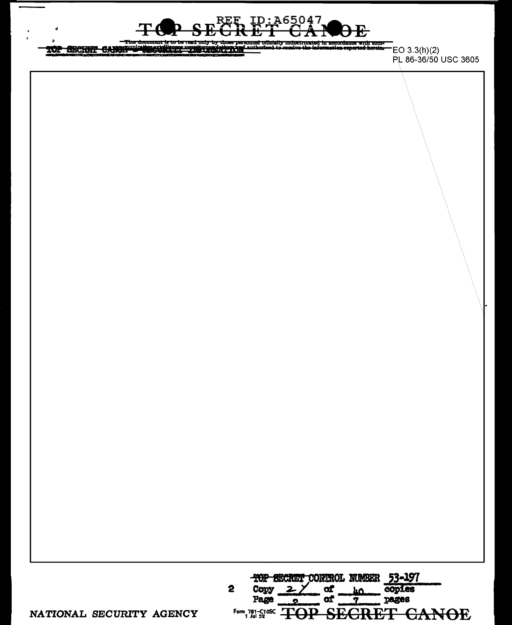

TOP SECRET CAROLINE COMMUNICATION CONTRACTS  $i$ <sub>aut</sub>h

 $EO(3.3(h)(2)$ PL 86-36/50 USC 3605

TOP SECRET CONTROL NUMBER 53-197 Copy  $2 \angle$  $\alpha$  $\overline{2}$ copies  $\mathbf{h}$ **of** pages Page  $\overline{\mathbf{2}}$ v Form 781-C10SC TOP **SEGRET CANOE** 

NATIONAL SECURITY AGENCY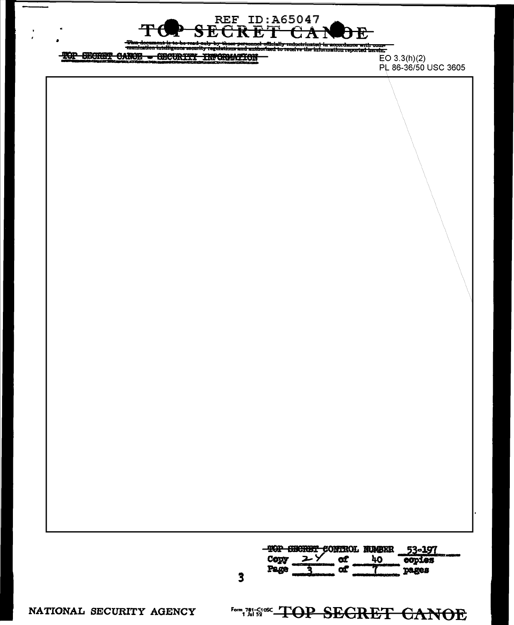REF ID:A65047<br>CGRET CAP k. 82 C

icially indoctrinated in accordance with come<br>ad to receive the information reported herein. stirma and and

## TOP SECRET CANCE - SECURITY INFORMATION

 $E$ O 3.3(h)(2) PL 86-36/50 USC 3605

| TOP CHORET CONTROL NUMBER |  | 1.197     |
|---------------------------|--|-----------|
|                           |  | -425      |
|                           |  | 3- MAR 19 |

NATIONAL SECURITY AGENCY Form, 781-G1052 TOP SECRET CANOE

 $\overline{\mathbf{3}}$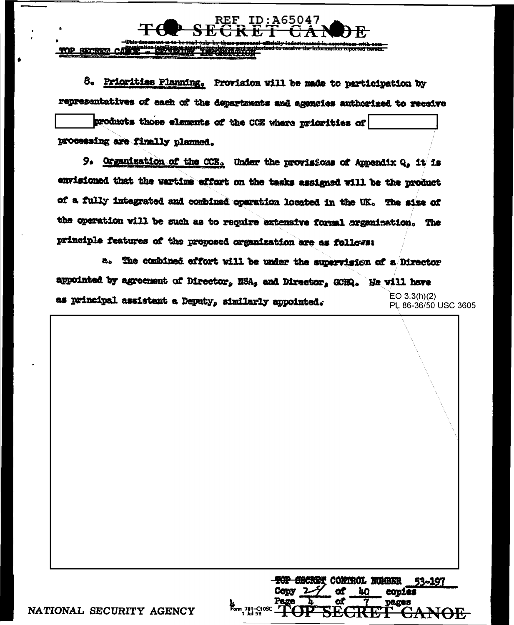**ATTACK SECRET** 

**Te** 

REF

8. Priorities Planning, Provision will be made to participation by representatives of each of the departments and agencies authorized to receive

ID:A65047

products those elements of the CCE where priorities of processing are finally planned.

9. Organization of the CCE. Under the provisions of Appendix Q, it is envisioned that the wartime effort on the tasks assigned will be the product of a fully integrated and combined operation located in the UK. The size of the operation will be such as to require extensive formal organization. The principle features of the proposed organization are as follows:

a. The combined effort will be under the supervision of a Director appointed by agreement of Director, NSA, and Director, GCHQ. He will have  $EO 3.3(h)(2)$ as principal assistant a Deputy, similarly appointed.

PL 86-36/50 USC 3605

<del>top secre</del>t control number 53-197 eopies 21.<br>Form 781-C10SC<br>1 Jul 52

NATIONAL SECURITY AGENCY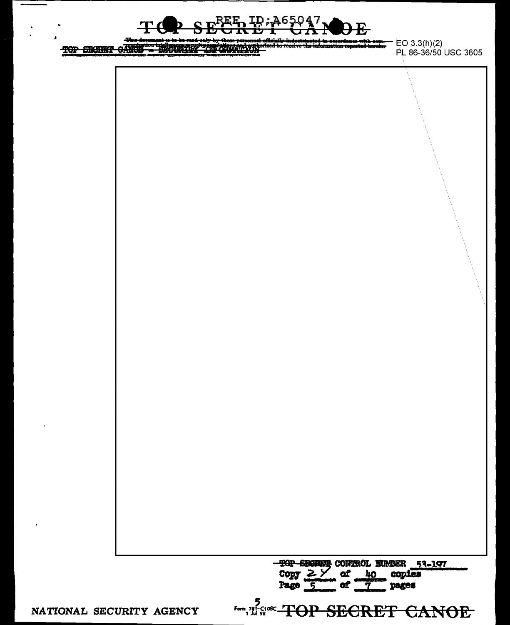

理解文明学 TOP SECRET CANCE

**thrown E**O 3.3(h)(2)<br>**http://default.com/default.com/default.com/default.com/default.com/default.com/default.com/default.com/default**<br>PL 86-36/50 USC 3605



NATIONAL SECURITY AGENCY

Form, 781-S1osc TOP SECRET CANOE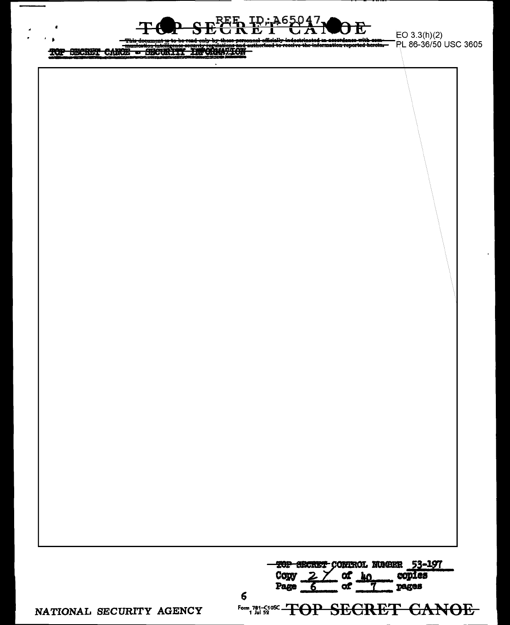

TOP SECRET CARDE - SECURITY INCOMMATION

6

 $EO 3.3(h)(2)$ PL 86-36/50 USC 3605

NATIONAL SECURITY AGENCY

Form, 781-51052 -TOP SECRET CANOE

TOP SECRET CONTROL NUMBER 53-197<br>Copy 2 of homogopies<br>Page 6 of 10 pages